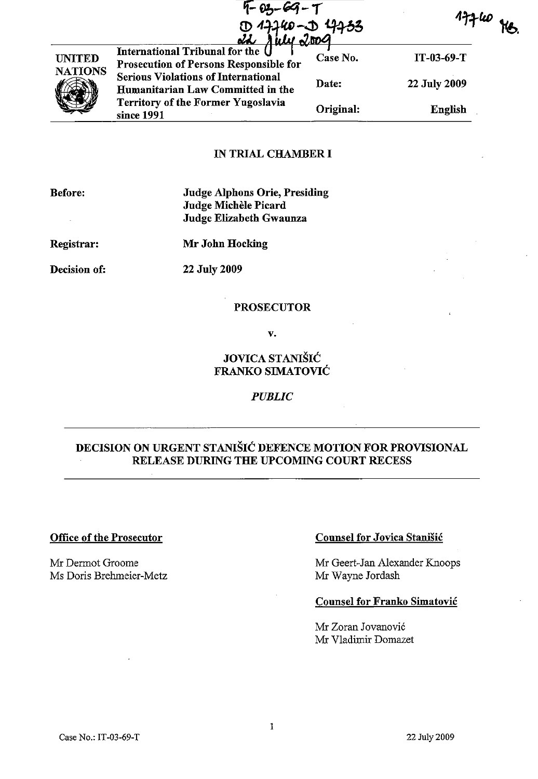|                                 | $F - 03 - 69 - T$<br>D 17740-D 17733                                            |           | $774$ W $_{\rm H}$ |
|---------------------------------|---------------------------------------------------------------------------------|-----------|--------------------|
| <b>UNITED</b><br><b>NATIONS</b> | International Tribunal for the<br>Prosecution of Persons Responsible for        | Case No.  | $IT-03-69-T$       |
|                                 | <b>Serious Violations of International</b><br>Humanitarian Law Committed in the | Date:     | 22 July 2009       |
|                                 | <b>Territory of the Former Yugoslavia</b><br>since 1991                         | Original: | <b>English</b>     |

#### IN TRIAL CHAMBER I

| <b>Judge Alphons Orie, Presiding</b><br>Judge Michèle Picard<br>Judge Elizabeth Gwaunza |
|-----------------------------------------------------------------------------------------|
| Mr John Hocking                                                                         |
| 22 July 2009                                                                            |
|                                                                                         |

## PROSECUTOR

v.

## JOVICA STANISIC FRANKO SIMATOVIC

#### *PUBLIC*

# DECISION ON URGENT STANISIC DEFENCE MOTION FOR PROVISIONAL RELEASE DURING THE UPCOMING COURT RECESS

### Office of the Prosecutor

Mr Dermot Groome Ms Doris Brehmeier-Metz

### Counsel for Jovica Stanisic

Mr Geert-Jan Alexander Knoops Mr Wayne Jordash

#### Counsel for Franko Simatovic

Mr Zoran Jovanovic Mr Vladimir Domazet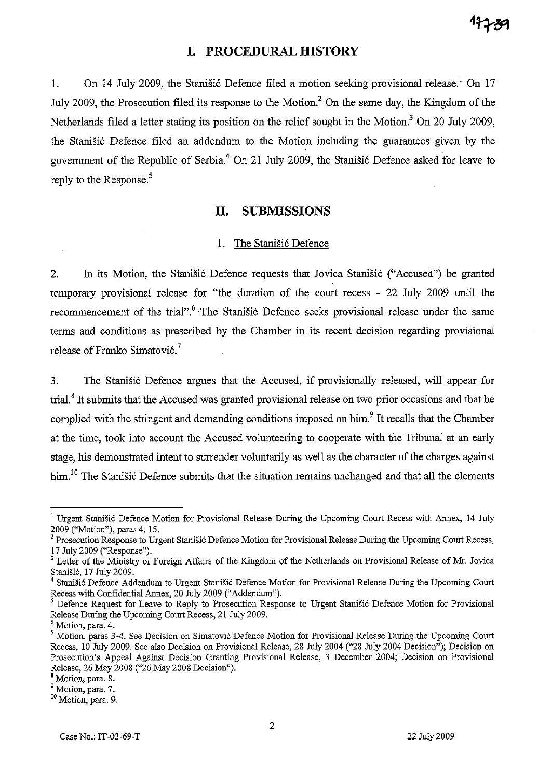## **I. PROCEDURAL HISTORY**

1. On 14 July 2009, the Stanisic Defence filed a motion seeking provisional release.<sup>1</sup> On 17 July 2009, the Prosecution filed its response to the Motion.<sup>2</sup> On the same day, the Kingdom of the Netherlands filed a letter stating its position on the relief sought in the Motion.<sup>3</sup> On 20 July 2009, the Stanišić Defence filed an addendum to the Motion including the guarantees given by the government of the Republic of Serbia.<sup>4</sup> On 21 July 2009, the Stanisic Defence asked for leave to reply to the Response.<sup>5</sup>

#### **II. SUBMISSIONS**

#### 1. The Stanišić Defence

2. In its Motion, the Stanišić Defence requests that Jovica Stanišić ("Accused") be granted temporary provisional release for "the duration of the court recess - 22 July 2009 until the recommencement of the trial".<sup>6</sup> The Stanišić Defence seeks provisional release under the same terms and conditions as prescribed by the Chamber in its recent decision regarding provisional release of Franko Simatović.<sup>7</sup>

3. The Stanisic Defence argues that the Accused, if provisionally released, will appear for trial.<sup>8</sup> It submits that the Accused was granted provisional release on two prior occasions and that he complied with the stringent and demanding conditions imposed on him.<sup>9</sup> It recalls that the Chamber at the time, took into account the Accused volunteering to cooperate with the Tribunal at an early stage, his demonstrated intent to surrender voluntarily as well as the character of the charges against him.<sup>10</sup> The Stanišić Defence submits that the situation remains unchanged and that all the elements

<sup>&</sup>lt;sup>1</sup> Urgent Stanišić Defence Motion for Provisional Release During the Upcoming Court Recess with Annex, 14 July 2009 ("Motion"), paras 4, 15.

 $2$  Prosecution Response to Urgent Stanišić Defence Motion for Provisional Release During the Upcoming Court Recess, 17 July 2009 ("Response").

<sup>&</sup>lt;sup>3</sup> Letter of the Ministry of Foreign Affairs of the Kingdom of the Netherlands on Provisional Release of Mr. Jovica Stanišić, 17 July 2009.

Stanišić Defence Addendum to Urgent Stanišić Defence Motion for Provisional Release During the Upcoming Court Recess with Confidential Annex, 20 July 2009 ("Addendum").

<sup>5</sup> Defence Request for Leave to Reply to Prosecution Response to Urgent Stanisie Defence Motion for Provisional Release During the Upcoming Court Recess, 21 July 2009.

<sup>6</sup> Motion, para. 4.

 $7$  Motion, paras 3-4. See Decision on Simatović Defence Motion for Provisional Release During the Upcoming Court Recess, 10 July 2009. See also Decision on Provisional Release, 28 July 2004 ("28 July 2004 Decision"); Decision on Prosecution's Appeal Against Decision Granting Provisional Release, 3 December 2004; Pecision on Provisional Release, 26 May 2008 ("26 May 2008 Decision").

<sup>&</sup>lt;sup>8</sup> Motion, para. 8.

<sup>9</sup>**Motion, para. 7.** 

**<sup>10</sup> Motion, para. 9.**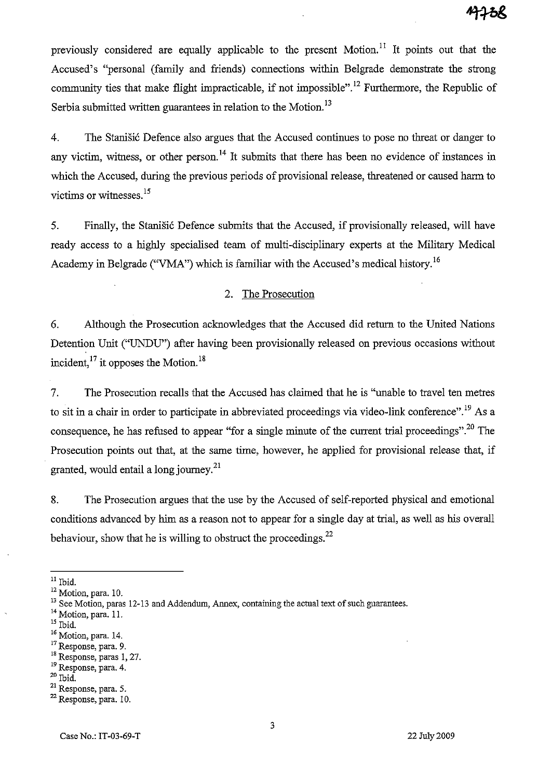previously considered are equally applicable to the present  $Motion<sup>11</sup>$  It points out that the Accused's "personal (family and friends) connections within Belgrade demonstrate the strong community ties that make flight impracticable, if not impossible".<sup>12</sup> Furthermore, the Republic of Serbia submitted written guarantees in relation to the Motion.<sup>13</sup>

4. The Stanisic Defence also argues that the Accused continues to pose no threat or danger to any victim, witness, or other person.<sup>14</sup> It submits that there has been no evidence of instances in which the Accused, during the previous periods of provisional release, threatened or caused harm to victims or witnesses.<sup>15</sup>

5. Finally, the Stanisic Defence submits that the Accused, if provisionally released, will have ready access to a highly specialised team of multi-disciplinary experts at the Military Medical Academy in Belgrade ("VMA") which is familiar with the Accused's medical history.<sup>16</sup>

## 2. The Prosecution

6. Although the Prosecution acknowledges that the Accused did return to the United Nations Detention Unit ("VNDU") after having been provisionally released on previous occasions without incident, $^{17}$  it opposes the Motion.<sup>18</sup>

7. The Prosecution recalls that the Accused has claimed that he is "unable to travel ten metres to sit in a chair in order to participate in abbreviated proceedings via video-link conference".<sup>19</sup> As a consequence, he has refused to appear "for a single minute of the current trial proceedings".2o The Prosecution points out that, at the same time, however, he applied for provisional release that, if granted, would entail a long journey. $^{21}$ 

8. The Prosecution argues that the use by the Accused of self-reported physical and emotional conditions advanced by him as a reason not to appear for a single day at trial, as well as his overall behaviour, show that he is willing to obstruct the proceedings.  $^{22}$ 

 $20$  Ibid.

 $11$  Ibid.

<sup>12</sup> Motion, para. 10.

<sup>&</sup>lt;sup>13</sup> See Motion, paras 12-13 and Addendum, Annex, containing the actual text of such guarantees.

<sup>&</sup>lt;sup>14</sup> Motion, para. 11.

<sup>15</sup> Ibid.

<sup>&</sup>lt;sup>16</sup> Motion, para. 14.

**<sup>17</sup> Response, para. 9.** 

<sup>&</sup>lt;sup>18</sup> Response, paras 1, 27.

**<sup>19</sup>Response, para. 4.** 

<sup>21</sup> Response, para. 5.

<sup>22</sup> Response, para. 10.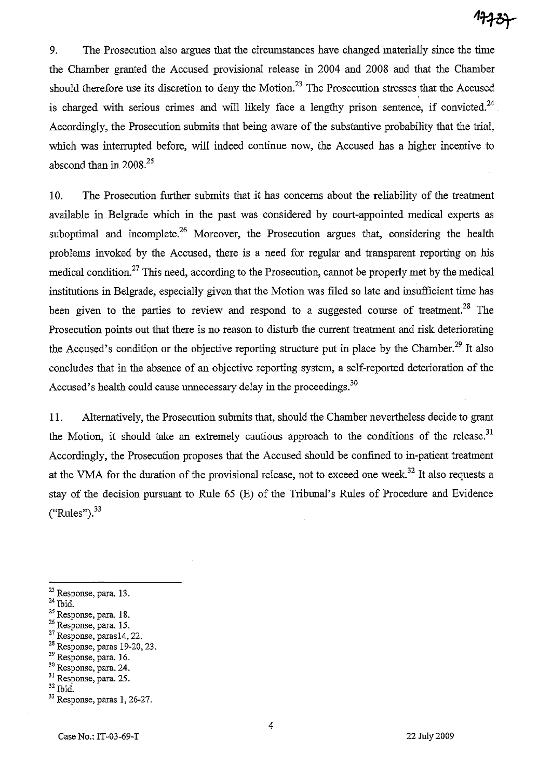9. The Prosecution also argues that the circumstances have changed materially since the time the Chamber granted the Accused provisional release in 2004 and 2008 and that the Chamber should therefore use its discretion to deny the Motion.<sup>23</sup> The Prosecution stresses that the Accused is charged with serious crimes and will likely face a lengthy prison sentence, if convicted.<sup>24</sup> Accordingly, the Prosecution submits that being aware of the substantive probability that the trial, which was interrupted before, will indeed continue now, the Accused has a higher incentive to abscond than in 2008.<sup>25</sup>

10. The Prosecution further submits that it has concerns about the reliability of the treatment available in Belgrade which in the past was considered by court-appointed medical experts as suboptimal and incomplete.<sup>26</sup> Moreover, the Prosecution argues that, considering the health problems invoked by the Accused, there is a need for regular and transparent reporting on his medical condition.<sup>27</sup> This need, according to the Prosecution, cannot be properly met by the medical institutions in Belgrade, especially given that the Motion was filed so late and insufficient time has been given to the parties to review and respond to a suggested course of treatment.<sup>28</sup> The Prosecution points out that there is no reason to disturb the current treatment and risk deteriorating the Accused's condition or the objective reporting structure put in place by the Chamber.<sup>29</sup> It also concludes that in the absence of an objective reporting system, a self-reported deterioration of the Accused's health could cause unnecessary delay in the proceedings.<sup>30</sup>

11. Alternatively, the Prosecution submits that, should the Chamber nevertheless decide to grant the Motion, it should take an extremely cautious approach to the conditions of the release.<sup>31</sup> Accordingly, the Prosecution proposes that the Accused should be confined to in-patient treatment at the VMA for the duration of the provisional release, not to exceed one week.<sup>32</sup> It also requests a stay of the decision pursuant to Rule 65 (E) of the Tribunal's Rules of Procedure and Evidence  $("Rules")$ .  $33$ 

28 Response, paras 19-20,23.

<sup>23</sup> Response, para. 13.

 $24$  Ibid.

 $25$  Response, para. 18.

<sup>26</sup> Response, para. 15.

<sup>27</sup> Response, parasl4, 22.

<sup>&</sup>lt;sup>29</sup> Response, para. 16.

<sup>30</sup> Response, para. 24. <sup>31</sup> Response, para. 25.

 $^\mathrm{32}$  Ibid.

<sup>&</sup>lt;sup>33</sup> Response, paras 1, 26-27.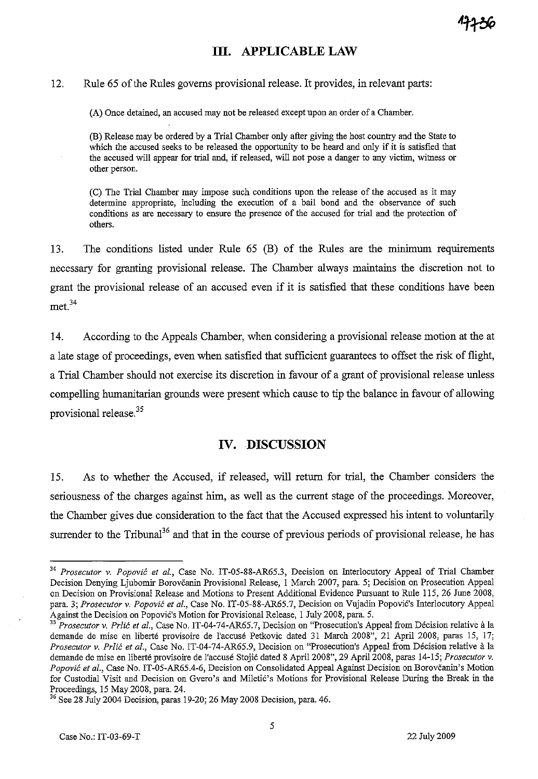## **Ill. APPLICABLE LAW**

#### 12. Rule 65 of the Rules governs provisional release. It provides, in relevant parts:

(A) Once detained, an accused may not be released except upon an order of a Chamber.

(B) Release may be ordered by a Trial Chamber only after giving the host country and the State to which the accused seeks to be released the opportunity to be heard and only if it is satisfied that the accused will appear for trial and, if released, will not pose a danger to any victim, witness or other person.

(C) The Trial Chamber may impose such conditions upon the release of the accused as it may determine appropriate, including the execution of a bail bond and the observance of such conditions as are necessary to ensure the presence of the accused for trial and the protection of others.

13. The conditions listed under Rule 65 (B) of the Rules are the minimum requirements necessary for granting provisional release. The Chamber always maintains the discretion not to grant the provisional release of an accused even if it is satisfied that these conditions have been met.<sup>34</sup>

14. According to the Appeals Chamber, when considering a provisional release motion at the at a late stage of proceedings, even when satisfied that sufficient guarantees to offset the risk of flight, a Trial Chamber should not exercise its discretion in favour of a grant of provisional release unless compelling humanitarian grounds were present which cause to tip the balance in favour of allowing provisional release.<sup>35</sup>

## IV. DISCUSSION

15. As to whether the Accused, if released, will return for trial, the Chamber considers the seriousness of the charges against him, as well as the current stage of the proceedings. Moreover, the Chamber gives due consideration to the fact that the Accused expressed his intent to voluntarily surrender to the Tribunal<sup>36</sup> and that in the course of previous periods of provisional release, he has

<sup>34</sup>*Prosecutor* v. *Popovic et al.,* Case No. *IT-OS-88-AR6S.3,* Decision on Interlocutory Appeal of Trial Chamber Decision Denying Ljubomir Borovcanin Provisional Release, I March 2007, para. S; Decision on Prosecution Appeal on Decision on Provisional Release and Motions to Present Additional Evidence Pursuant to Rule *lIS,* 26 June 2008, para. 3; *Prosecutor* v. *Popovic et al.,* Case No. IT-OS-88-AR6S.7, Decision on Vujadin Popovic's Interlocutory Appeal Against the Decision on Popovic's Motion for Provisional Release, I July 2008, para. *S.* 

<sup>&</sup>lt;sup>35</sup> Prosecutor v. Prlić et al., Case No. IT-04-74-AR65.7, Decision on "Prosecution's Appeal from Décision relative à la demande de mise en liberté provisoire de l'accusé Petkovic dated 31 March 2008", 21 April 2008, paras 15, 17; *Prosecutor v. Prlić et al., Case No. IT-04-74-AR65.9, Decision on "Prosecution's Appeal from Décision relative à la* demande de mise en liberte provisoire de I'accuse Stojic dated 8 April 2008", 29 April 2008, paras 14-IS; *Prosecutor* v. *Popovic et al.,* Case No. *IT-OS-AR6S.4-6,* Decision on Consolidated Appeal Against Decision on Borovcanin's Motion for Custodial Visit and Decision on Gvero's and Miletic's Motions for Provisional Release During the Break in the Proceedings, IS May 2008, para. 24.

<sup>36</sup> See 28 July 2004 Decision, paras 19-20; 26 May 2008 Decision, para. 46.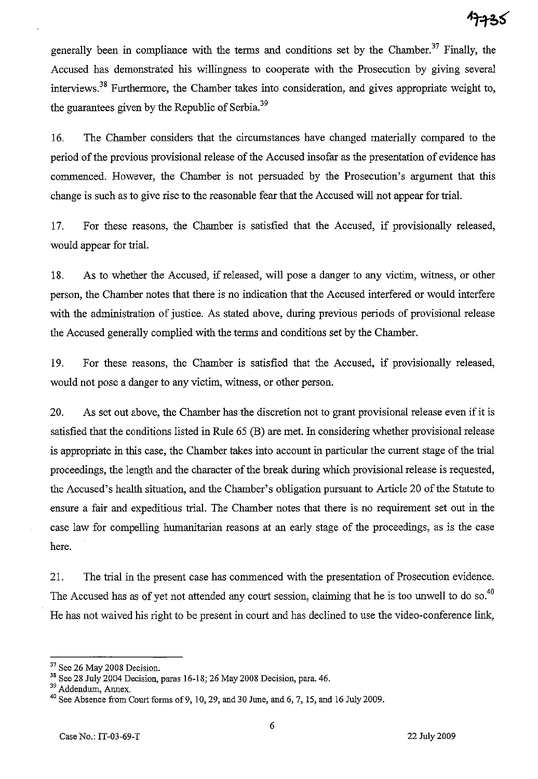generally been in compliance with the terms and conditions set by the Chamber.<sup>37</sup> Finally, the Accused has demonstrated his willingness to cooperate with the Prosecution by giving several interviews.38 Furthermore, the Chamber takes into consideration, and gives appropriate weight to, the guarantees given by the Republic of Serbia.<sup>39</sup>

16. The Chamber considers that the circumstances have changed materially compared to the period of the previous provisional release of the Accused insofar as the presentation of evidence has commenced. However, the Chamber is not persuaded by the Prosecution's argument that this change is such as to give rise to the reasonable fear that the Accused will not appear for trial.

17. For these reasons, the Chamber is satisfied that the Accused, if provisionally released, would appear for trial.

18. As to whether the Accused, if released, will pose a danger to any victim, witness, or other person, the Chamber notes that there is no indication that the Accused interfered or would interfere with the administration of justice. As stated above, during previous periods of provisional release the Accused generally complied with the terms and conditions set by the Chamber.

19. For these reasons, the Chamber is satisfied that the Accused, if provisionally released, would not pose a danger to any victim, witness, or other person.

20. As set out above, the Chamber has the discretion not to grant provisional release even if it is satisfied that the conditions listed in Rule 65 (B) are met. In considering whether provisional release is appropriate in this case, the Chamber takes into account in particular the current stage of the trial proceedings, the length and the character of the break during which provisional release is requested, the Accused's health situation, and the Chamber's obligation pursuant to Article 20 of the Statute to ensure a fair and expeditious trial. The Chamber notes that there is no requirement set out in the case law for compelling humanitarian reasons at an early stage of the proceedings, as is the case here.

21. The trial in the present case has commenced with the presentation of Prosecution evidence. The Accused has as of yet not attended any court session, claiming that he is too unwell to do so.<sup>40</sup> He has not waived his right to be present in court and has declined to use the video-conference link,

<sup>&</sup>lt;sup>37</sup> See 26 May 2008 Decision.

<sup>&</sup>lt;sup>38</sup> See 28 July 2004 Decision, paras 16-18; 26 May 2008 Decision, para. 46.

<sup>39</sup> Addendum, Annex.

 $40$  See Absence from Court forms of 9, 10, 29, and 30 June, and 6, 7, 15, and 16 July 2009.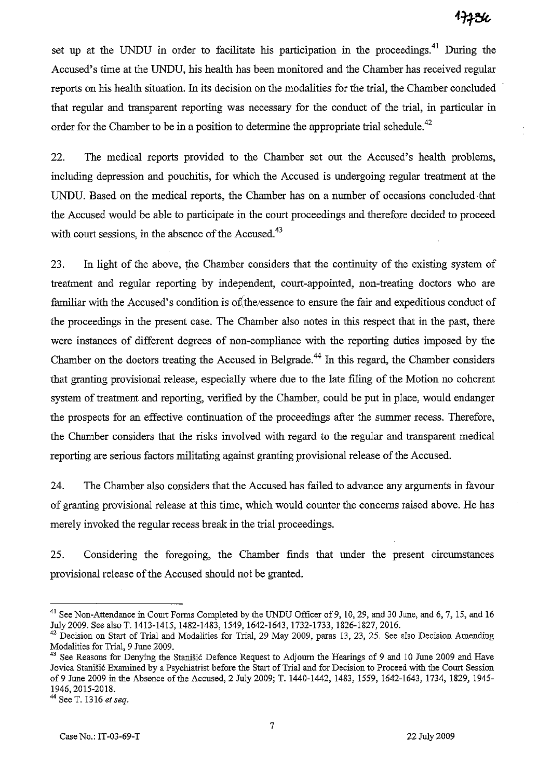set up at the UNDU in order to facilitate his participation in the proceedings.<sup>41</sup> During the Accused's time at the VNDU, his health has been monitored and the Chamber has received regular reports on his health situation. In its decision on the modalities for the trial, the Chamber concluded that regular and transparent reporting was necessary for the conduct of the trial, in particular in order for the Chamber to be in a position to determine the appropriate trial schedule.<sup>42</sup>

22. The medical reports provided to the Chamber set out the Accused's health problems, including depression and pouchitis, for which the Accused is undergoing regular treatment at the UNDU. Based on the medical reports, the Chamber has on a number of occasions concluded that the Accused would be able to participate in the court proceedings and therefore decided to proceed with court sessions, in the absence of the Accused.<sup>43</sup>

23. In light of the above, the Chamber considers that the continuity of the existing system of treatment and regular reporting by independent, court-appointed, non-treating doctors who are familiar with the Accused's condition is of the essence to ensure the fair and expeditious conduct of the proceedings in the present case. The Chamber also notes in this respect that in the past, there were instances of different degrees of non-compliance with the reporting duties imposed by the Chamber on the doctors treating the Accused in Belgrade.<sup>44</sup> In this regard, the Chamber considers that granting provisional release, especially where due to the late filing of the Motion no coherent system of treatment and reporting, verified by the Chamber, could be put in place, would endanger the prospects for an effective continuation of the proceedings after the summer recess. Therefore, the Chamber considers that the risks involved with regard to the regular and transparent medical reporting are serious factors militating against granting provisional release of the Accused.

24. The Chamber also considers that the Accused has failed to advance any arguments in favour of granting provisional release at this time, which would counter the concerns raised above. He has merely invoked the regular recess break in the trial proceedings.

25. Considering the foregoing, the Chamber fmds that under the present circumstances provisional release of the Accused should not be granted.

<sup>&</sup>lt;sup>41</sup> See Non-Attendance in Court Forms Completed by the UNDU Officer of 9, 10, 29, and 30 June, and 6, 7, 15, and 16 July 2009. See also T. 1413-1415, 1482-1483, 1549, 1642-1643, 1732-1733, 1826-1827,2016.

 $42$  Decision on Start of Trial and Modalities for Trial, 29 May 2009, paras 13, 23, 25. See also Decision Amending Modalities for Trial, 9 June 2009.

<sup>&</sup>lt;sup>43</sup> See Reasons for Denying the Stanisić Defence Request to Adjourn the Hearings of 9 and 10 June 2009 and Have Jovica Stanišić Examined by a Psychiatrist before the Start of Trial and for Decision to Proceed with the Court Session of9 June 2009 in the Absence of the Accused, 2 July 2009; T. 1440-1442, 1483, 1559, 1642-1643, 1734, 1829, 1945- 1946,2015-2018.

<sup>44</sup> See T. 1316 *et seq.*